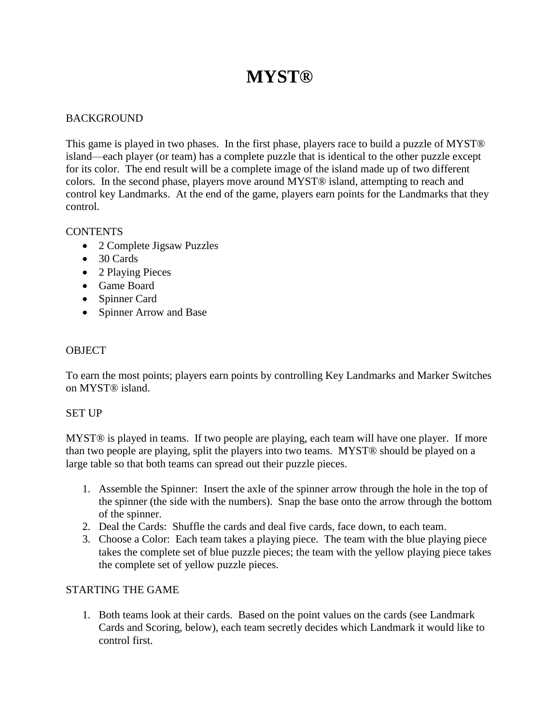# **MYST®**

# **BACKGROUND**

This game is played in two phases. In the first phase, players race to build a puzzle of MYST® island—each player (or team) has a complete puzzle that is identical to the other puzzle except for its color. The end result will be a complete image of the island made up of two different colors. In the second phase, players move around MYST® island, attempting to reach and control key Landmarks. At the end of the game, players earn points for the Landmarks that they control.

## **CONTENTS**

- 2 Complete Jigsaw Puzzles
- 30 Cards
- 2 Playing Pieces
- Game Board
- Spinner Card
- Spinner Arrow and Base

## **OBJECT**

To earn the most points; players earn points by controlling Key Landmarks and Marker Switches on MYST® island.

#### SET UP

MYST® is played in teams. If two people are playing, each team will have one player. If more than two people are playing, split the players into two teams. MYST® should be played on a large table so that both teams can spread out their puzzle pieces.

- 1. Assemble the Spinner: Insert the axle of the spinner arrow through the hole in the top of the spinner (the side with the numbers). Snap the base onto the arrow through the bottom of the spinner.
- 2. Deal the Cards: Shuffle the cards and deal five cards, face down, to each team.
- 3. Choose a Color: Each team takes a playing piece. The team with the blue playing piece takes the complete set of blue puzzle pieces; the team with the yellow playing piece takes the complete set of yellow puzzle pieces.

## STARTING THE GAME

1. Both teams look at their cards. Based on the point values on the cards (see Landmark Cards and Scoring, below), each team secretly decides which Landmark it would like to control first.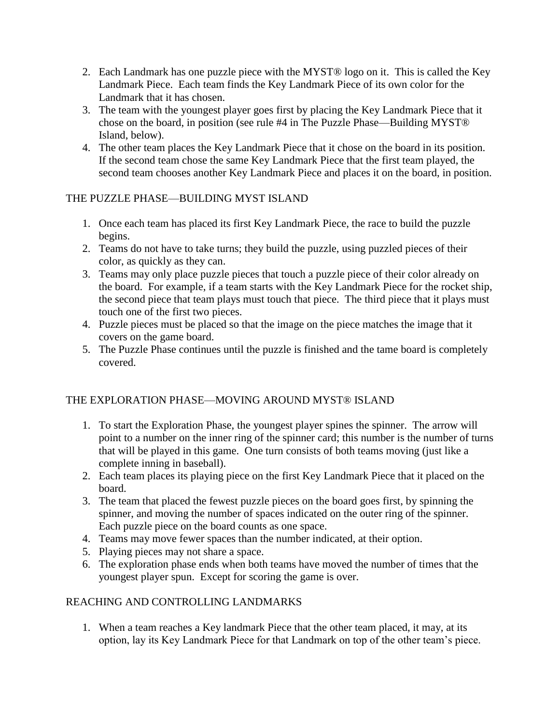- 2. Each Landmark has one puzzle piece with the MYST® logo on it. This is called the Key Landmark Piece. Each team finds the Key Landmark Piece of its own color for the Landmark that it has chosen.
- 3. The team with the youngest player goes first by placing the Key Landmark Piece that it chose on the board, in position (see rule #4 in The Puzzle Phase—Building MYST® Island, below).
- 4. The other team places the Key Landmark Piece that it chose on the board in its position. If the second team chose the same Key Landmark Piece that the first team played, the second team chooses another Key Landmark Piece and places it on the board, in position.

# THE PUZZLE PHASE—BUILDING MYST ISLAND

- 1. Once each team has placed its first Key Landmark Piece, the race to build the puzzle begins.
- 2. Teams do not have to take turns; they build the puzzle, using puzzled pieces of their color, as quickly as they can.
- 3. Teams may only place puzzle pieces that touch a puzzle piece of their color already on the board. For example, if a team starts with the Key Landmark Piece for the rocket ship, the second piece that team plays must touch that piece. The third piece that it plays must touch one of the first two pieces.
- 4. Puzzle pieces must be placed so that the image on the piece matches the image that it covers on the game board.
- 5. The Puzzle Phase continues until the puzzle is finished and the tame board is completely covered.

# THE EXPLORATION PHASE—MOVING AROUND MYST® ISLAND

- 1. To start the Exploration Phase, the youngest player spines the spinner. The arrow will point to a number on the inner ring of the spinner card; this number is the number of turns that will be played in this game. One turn consists of both teams moving (just like a complete inning in baseball).
- 2. Each team places its playing piece on the first Key Landmark Piece that it placed on the board.
- 3. The team that placed the fewest puzzle pieces on the board goes first, by spinning the spinner, and moving the number of spaces indicated on the outer ring of the spinner. Each puzzle piece on the board counts as one space.
- 4. Teams may move fewer spaces than the number indicated, at their option.
- 5. Playing pieces may not share a space.
- 6. The exploration phase ends when both teams have moved the number of times that the youngest player spun. Except for scoring the game is over.

## REACHING AND CONTROLLING LANDMARKS

1. When a team reaches a Key landmark Piece that the other team placed, it may, at its option, lay its Key Landmark Piece for that Landmark on top of the other team's piece.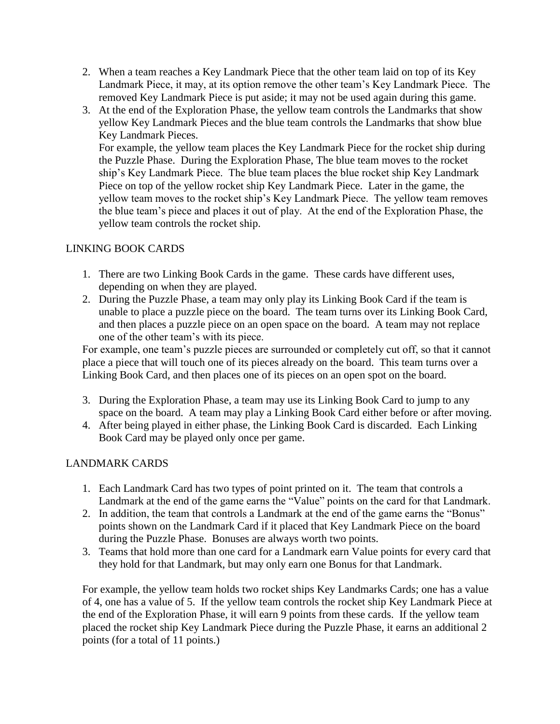- 2. When a team reaches a Key Landmark Piece that the other team laid on top of its Key Landmark Piece, it may, at its option remove the other team's Key Landmark Piece. The removed Key Landmark Piece is put aside; it may not be used again during this game.
- 3. At the end of the Exploration Phase, the yellow team controls the Landmarks that show yellow Key Landmark Pieces and the blue team controls the Landmarks that show blue Key Landmark Pieces.

For example, the yellow team places the Key Landmark Piece for the rocket ship during the Puzzle Phase. During the Exploration Phase, The blue team moves to the rocket ship's Key Landmark Piece. The blue team places the blue rocket ship Key Landmark Piece on top of the yellow rocket ship Key Landmark Piece. Later in the game, the yellow team moves to the rocket ship's Key Landmark Piece. The yellow team removes the blue team's piece and places it out of play. At the end of the Exploration Phase, the yellow team controls the rocket ship.

# LINKING BOOK CARDS

- 1. There are two Linking Book Cards in the game. These cards have different uses, depending on when they are played.
- 2. During the Puzzle Phase, a team may only play its Linking Book Card if the team is unable to place a puzzle piece on the board. The team turns over its Linking Book Card, and then places a puzzle piece on an open space on the board. A team may not replace one of the other team's with its piece.

For example, one team's puzzle pieces are surrounded or completely cut off, so that it cannot place a piece that will touch one of its pieces already on the board. This team turns over a Linking Book Card, and then places one of its pieces on an open spot on the board.

- 3. During the Exploration Phase, a team may use its Linking Book Card to jump to any space on the board. A team may play a Linking Book Card either before or after moving.
- 4. After being played in either phase, the Linking Book Card is discarded. Each Linking Book Card may be played only once per game.

## LANDMARK CARDS

- 1. Each Landmark Card has two types of point printed on it. The team that controls a Landmark at the end of the game earns the "Value" points on the card for that Landmark.
- 2. In addition, the team that controls a Landmark at the end of the game earns the "Bonus" points shown on the Landmark Card if it placed that Key Landmark Piece on the board during the Puzzle Phase. Bonuses are always worth two points.
- 3. Teams that hold more than one card for a Landmark earn Value points for every card that they hold for that Landmark, but may only earn one Bonus for that Landmark.

For example, the yellow team holds two rocket ships Key Landmarks Cards; one has a value of 4, one has a value of 5. If the yellow team controls the rocket ship Key Landmark Piece at the end of the Exploration Phase, it will earn 9 points from these cards. If the yellow team placed the rocket ship Key Landmark Piece during the Puzzle Phase, it earns an additional 2 points (for a total of 11 points.)